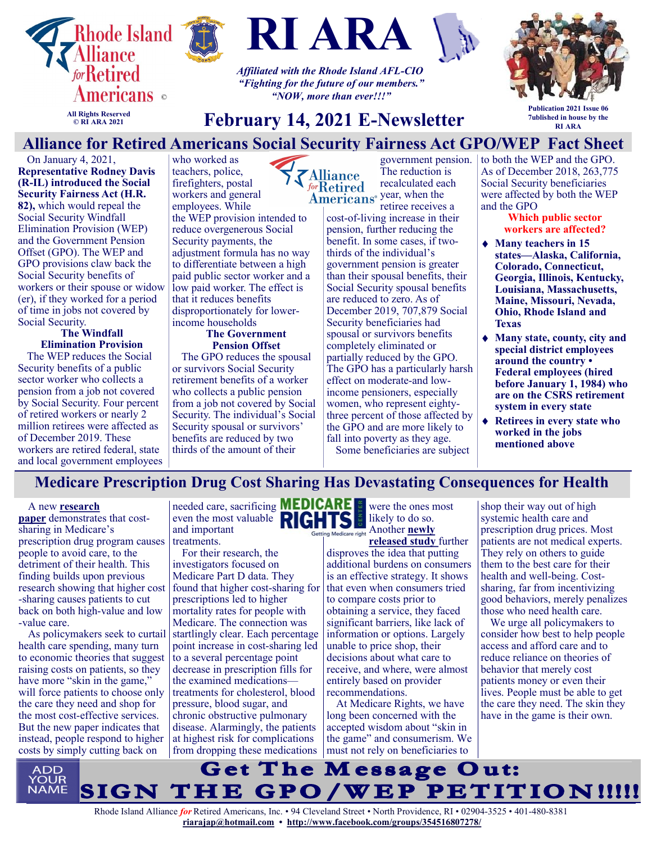



who worked as



*Affiliated with the Rhode Island AFL-CIO "Fighting for the future of our members." "NOW, more than ever!!!"*



**All Rights Reserved © RI ARA 2021**

# **February 14, 2021 E-Newsletter**

**Publication 2021 Issue 06 7ublished in house by the RI ARA**

**Alliance for Retired Americans S[ocial Security Fa](https://retiredamericans.org/)irness Act GPO/WEP Fact Sheet**

On January 4, 2021, **Representative Rodney Davis (R-IL) introduced the Social Security Fairness Act (H.R. 82),** which would repeal the Social Security Windfall Elimination Provision (WEP) and the Government Pension Offset (GPO). The WEP and GPO provisions claw back the Social Security benefits of workers or their spouse or widow (er), if they worked for a period of time in jobs not covered by Social Security.

#### **The Windfall Elimination Provision**

The WEP reduces the Social Security benefits of a public sector worker who collects a pension from a job not covered by Social Security. Four percent of retired workers or nearly 2 million retirees were affected as of December 2019. These workers are retired federal, state and local government employees teachers, police, firefighters, postal workers and general employees. While the WEP provision intended to reduce overgenerous Social Security payments, the adjustment formula has no way to differentiate between a high paid public sector worker and a low paid worker. The effect is that it reduces benefits disproportionately for lowerincome households

#### **The Government Pension Offset**

The GPO reduces the spousal or survivors Social Security retirement benefits of a worker who collects a public pension from a job not covered by Social Security. The individual's Social Security spousal or survivors' benefits are reduced by two thirds of the amount of their

government pension. The reduction is **Alliance** recalculated each forRetired Americans<sup>®</sup> year, when the retiree receives a

cost-of-living increase in their pension, further reducing the benefit. In some cases, if twothirds of the individual's government pension is greater than their spousal benefits, their Social Security spousal benefits are reduced to zero. As of December 2019, 707,879 Social Security beneficiaries had spousal or survivors benefits completely eliminated or partially reduced by the GPO. The GPO has a particularly harsh effect on moderate-and lowincome pensioners, especially women, who represent eightythree percent of those affected by the GPO and are more likely to fall into poverty as they age.

Some beneficiaries are subject

to both the WEP and the GPO. As of December 2018, 263,775 Social Security beneficiaries were affected by both the WEP and the GPO

**Which public sector workers are affected?**

- **Many teachers in 15 states—Alaska, California, Colorado, Connecticut, Georgia, Illinois, Kentucky, Louisiana, Massachusetts, Maine, Missouri, Nevada, Ohio, Rhode Island and Texas**
- **Many state, county, city and special district employees around the country • Federal employees (hired before January 1, 1984) who are on the CSRS retirement system in every state**
- **Retirees in every state who worked in the jobs mentioned above**

# **Medicare Prescription Drug Cost Sharing Has Devastating Consequences for Health**

#### A new **[research](https://www.nber.org/system/files/working_papers/w28439/w28439.pdf)**

**[paper](https://www.nber.org/system/files/working_papers/w28439/w28439.pdf)** demonstrates that costsharing in Medicare's prescription drug program causes people to avoid care, to the detriment of their health. This finding builds upon previous research showing that higher cost -sharing causes patients to cut back on both high-value and low -value care.

As policymakers seek to curtail health care spending, many turn to economic theories that suggest raising costs on patients, so they have more "skin in the game," will force patients to choose only the care they need and shop for the most cost-effective services. But the new paper indicates that instead, people respond to higher costs by simply cutting back on

needed care, sacrificing **MEDICARE** were the ones most even the most valuable **RIGHTS** and important treatments.

For their research, the investigators focused on Medicare Part D data. They found that higher cost-sharing for  $\vert$  that even when consumers tried prescriptions led to higher mortality rates for people with Medicare. The connection was startlingly clear. Each percentage point increase in cost-sharing led to a several percentage point decrease in prescription fills for the examined medications treatments for cholesterol, blood pressure, blood sugar, and chronic obstructive pulmonary disease. Alarmingly, the patients at highest risk for complications from dropping these medications | must not rely on beneficiaries to

likely to do so. **Another newly** 

**[released study](https://www.sciencedirect.com/science/article/abs/pii/S0167629621000126?dgcid=author)** further disproves the idea that putting additional burdens on consumers is an effective strategy. It shows to compare costs prior to obtaining a service, they faced significant barriers, like lack of information or options. Largely unable to price shop, their decisions about what care to receive, and where, were almost entirely based on provider recommendations.

At Medicare Rights, we have long been concerned with the accepted wisdom about "skin in the game" and consumerism. We

shop their way out of high systemic health care and prescription drug prices. Most patients are not medical experts. They rely on others to guide them to the best care for their health and well-being. Costsharing, far from incentivizing good behaviors, merely penalizes those who need health care.

We urge all policymakers to consider how best to help people access and afford care and to reduce reliance on theories of behavior that merely cost patients money or even their lives. People must be able to get the care they need. The skin they have in the game is their own.



Rhode Island Alliance *for* Retired Americans, Inc. • 94 Cleveland Street • North Providence, RI • 02904-3525 • 401-480-8381 **[riarajap@hotmail.com](mailto:riarajap@hotmail.com) • [http://www.facebook.com/groups/354516807278/](https://www.facebook.com/groups/354516807278/)**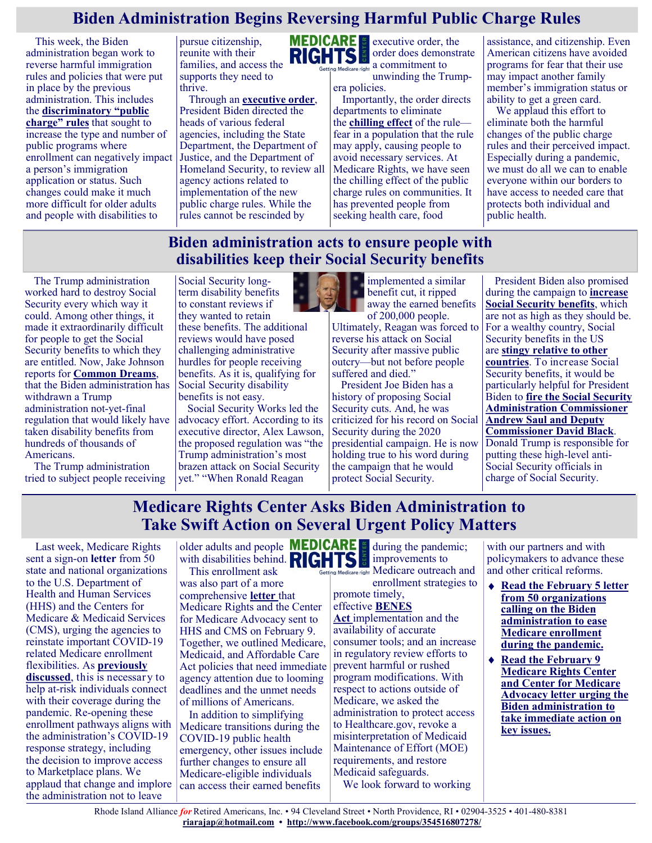# **Biden Administration Begins Reversing Harmful Public Charge Rules**

This week, the Biden administration began work to reverse harmful immigration rules and policies that were put in place by the previous administration. This includes the **[discriminatory "public](https://www.medicarerights.org/medicare-watch/2020/02/27/blog-trump-administration-officially-begins-enforcement-of-its-public-charge-immigration-rule)  [charge" rules](https://www.medicarerights.org/medicare-watch/2020/02/27/blog-trump-administration-officially-begins-enforcement-of-its-public-charge-immigration-rule)** that sought to increase the type and number of public programs where enrollment can negatively impact a person's immigration application or status. Such changes could make it much more difficult for older adults and people with disabilities to

pursue citizenship, reunite with their families, and access the supports they need to thrive.

Through an **[executive order](https://www.whitehouse.gov/briefing-room/presidential-actions/2021/02/02/executive-order-restoring-faith-in-our-legal-immigration-systems-and-strengthening-integration-and-inclusion-efforts-for-new-americans/)**, President Biden directed the heads of various federal agencies, including the State Department, the Department of Justice, and the Department of Homeland Security, to review all agency actions related to implementation of the new public charge rules. While the rules cannot be rescinded by



executive order, the order does demonstrate Getting Medicare right a commitment to

unwinding the Trumpera policies.

Importantly, the order directs departments to eliminate the **[chilling effect](https://protectingimmigrantfamilies.org/wp-content/uploads/2019/07/PIF-Documenting-Harm-Fact-Sheet-UPDATED-JULY.pdf)** of the rule fear in a population that the rule may apply, causing people to avoid necessary services. At Medicare Rights, we have seen the chilling effect of the public charge rules on communities. It has prevented people from seeking health care, food

assistance, and citizenship. Even American citizens have avoided programs for fear that their use may impact another family member's immigration status or ability to get a green card.

We applaud this effort to eliminate both the harmful changes of the public charge rules and their perceived impact. Especially during a pandemic, we must do all we can to enable everyone within our borders to have access to needed care that protects both individual and public health.

## **Biden administration acts to ensure people with disabilities keep their Social Security benefits**

The Trump administration worked hard to destroy Social Security every which way it could. Among other things, it made it extraordinarily difficult for people to get the Social Security benefits to which they are entitled. Now, Jake Johnson reports for **[Common Dreams](https://www.commondreams.org/news/2021/01/28/applause-biden-withdraws-horrific-trump-rule-attacking-social-security-disability)**, that the Biden administration has withdrawn a Trump administration not-yet-final regulation that would likely have taken disability benefits from hundreds of thousands of Americans.

The Trump administration tried to subject people receiving

Social Security longterm disability benefits to constant reviews if they wanted to retain these benefits. The additional reviews would have posed challenging administrative hurdles for people receiving benefits. As it is, qualifying for Social Security disability benefits is not easy.

Social Security Works led the advocacy effort. According to its executive director, Alex Lawson, the proposed regulation was "the Trump administration's most brazen attack on Social Security yet." "When Ronald Reagan



implemented a similar benefit cut, it ripped away the earned benefits of 200,000 people.

Ultimately, Reagan was forced to reverse his attack on Social Security after massive public outcry—but not before people suffered and died."

President Joe Biden has a history of proposing Social Security cuts. And, he was criticized for his record on Social Security during the 2020 presidential campaign. He is now holding true to his word during the campaign that he would protect Social Security.

President Biden also promised during the campaign to **[increase](https://justcareusa.org/expand-social-security-dont-means-test-it/)  [Social Security benefits](https://justcareusa.org/expand-social-security-dont-means-test-it/)**, which are not as high as they should be. For a wealthy country, Social Security benefits in the US are **[stingy relative to other](https://justcareusa.org/for-a-wealthy-country-the-us-offers-stingy-social-security-retirement-benefits/)  [countries](https://justcareusa.org/for-a-wealthy-country-the-us-offers-stingy-social-security-retirement-benefits/)**. To increase Social Security benefits, it would be particularly helpful for President Biden to **[fire the Social Security](https://justcareusa.org/will-biden-quickly-replace-social-security-leadership/)  [Administration Commissioner](https://justcareusa.org/will-biden-quickly-replace-social-security-leadership/)  [Andrew Saul and Deputy](https://justcareusa.org/will-biden-quickly-replace-social-security-leadership/)  [Commissioner David Black](https://justcareusa.org/will-biden-quickly-replace-social-security-leadership/)**. Donald Trump is responsible for putting these high-level anti-Social Security officials in charge of Social Security.

# **Medicare Rights Center Asks Biden Administration to Take Swift Action on Several Urgent Policy Matters**

Last week, Medicare Rights sent a sign-on **[letter](https://www.medicarerights.org/pdf/020521-letter-on-medicare-enrollment-flexibilities.pdf)** from 50 state and national organizations to the U.S. Department of Health and Human Services (HHS) and the Centers for Medicare & Medicaid Services (CMS), urging the agencies to reinstate important COVID-19 related Medicare enrollment flexibilities. As **[previously](https://www.medicarerights.org/medicare-watch/2021/02/04/recent-steps-to-improve-access-to-the-federal-marketplace-should-be-expanded-to-include-medicare)**  [discussed](https://www.medicarerights.org/medicare-watch/2021/02/04/recent-steps-to-improve-access-to-the-federal-marketplace-should-be-expanded-to-include-medicare), this is necessary to help at-risk individuals connect with their coverage during the pandemic. Re-opening these enrollment pathways aligns with

the administration's COVID-19 response strategy, including the [decision](https://www.federalregister.gov/documents/2021/02/02/2021-02252/strengthening-medicaid-and-the-affordable-care-act) to improve access to Marketplace plans. We applaud that change and implore the administration not to leave

older adults and people with disabilities behind.

This enrollment ask was also part of a more comprehensive **[letter](https://www.medicarerights.org/pdf/020921-joint-letter-cma.pdf)** that Medicare Rights and the Center for Medicare Advocacy sent to HHS and CMS on February 9. Together, we outlined Medicare, Medicaid, and Affordable Care Act policies that need immediate agency attention due to looming deadlines and the unmet needs of millions of Americans.

In addition to simplifying Medicare transitions during the COVID-19 public health emergency, other issues include further changes to ensure all Medicare-eligible individuals can access their earned benefits

during the pandemic; improvements to g Medicare right Medicare outreach and

enrollment strategies to promote timely,

## effective **[BENES](https://www.medicarerights.org/media-center/medicare-rights-welcomes-passage-of-key-benes-act-provisions)**

**[Act](https://www.medicarerights.org/media-center/medicare-rights-welcomes-passage-of-key-benes-act-provisions)** implementation and the availability of accurate consumer tools; and an increase in regulatory review efforts to prevent harmful or rushed program modifications. With respect to actions outside of Medicare, we asked the administration to protect access to Healthcare.gov, revoke a misinterpretation of Medicaid Maintenance of Effort (MOE) requirements, and restore Medicaid safeguards.

We look forward to working

with our partners and with policymakers to advance these and other critical reforms.

- **[Read the February 5 letter](https://www.medicarerights.org/pdf/020521-letter-on-medicare-enrollment-flexibilities.pdf)  [from 50 organizations](https://www.medicarerights.org/pdf/020521-letter-on-medicare-enrollment-flexibilities.pdf)  [calling on the Biden](https://www.medicarerights.org/pdf/020521-letter-on-medicare-enrollment-flexibilities.pdf)  [administration to ease](https://www.medicarerights.org/pdf/020521-letter-on-medicare-enrollment-flexibilities.pdf)  [Medicare enrollment](https://www.medicarerights.org/pdf/020521-letter-on-medicare-enrollment-flexibilities.pdf)  [during the pandemic.](https://www.medicarerights.org/pdf/020521-letter-on-medicare-enrollment-flexibilities.pdf)**
- **[Read the February 9](https://www.medicarerights.org/pdf/020921-joint-letter-cma.pdf)  [Medicare Rights Center](https://www.medicarerights.org/pdf/020921-joint-letter-cma.pdf)  [and Center for Medicare](https://www.medicarerights.org/pdf/020921-joint-letter-cma.pdf)  [Advocacy letter urging the](https://www.medicarerights.org/pdf/020921-joint-letter-cma.pdf)  [Biden administration to](https://www.medicarerights.org/pdf/020921-joint-letter-cma.pdf)  [take immediate action on](https://www.medicarerights.org/pdf/020921-joint-letter-cma.pdf)  [key issues.](https://www.medicarerights.org/pdf/020921-joint-letter-cma.pdf)**

Rhode Island Alliance *for* Retired Americans, Inc. • 94 Cleveland Street • North Providence, RI • 02904-3525 • 401-480-8381 **[riarajap@hotmail.com](mailto:riarajap@hotmail.com) • [http://www.facebook.com/groups/354516807278/](https://www.facebook.com/groups/354516807278/)**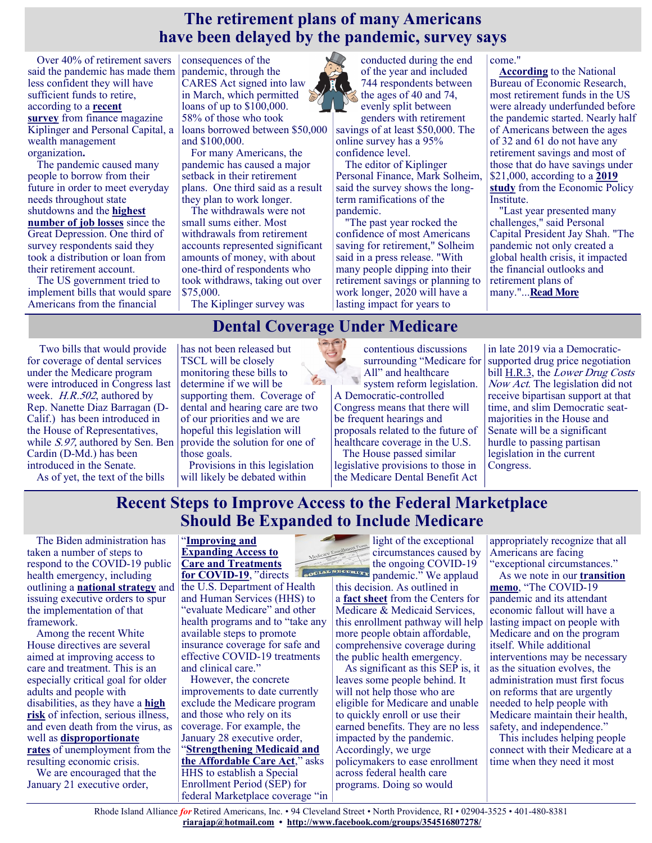## **The retirement plans of many Americans have been delayed by the pandemic, survey says**

Over 40% of retirement savers said the pandemic has made them less confident they will have sufficient funds to retire, according to a **[recent](https://www.kiplinger.com/retirement/retirement-planning/601934/retirement-planning-during-covid)  [survey](https://www.kiplinger.com/retirement/retirement-planning/601934/retirement-planning-during-covid)** from finance magazine Kiplinger and Personal Capital, a wealth management organization**.**

The pandemic caused many people to borrow from their future in order to meet everyday needs throughout state shutdowns and the **[highest](https://www.businessinsider.com/covid-job-losses-unemployment-recovery-years-moodys-covid-2020-12)  [number of job losses](https://www.businessinsider.com/covid-job-losses-unemployment-recovery-years-moodys-covid-2020-12)** since the Great Depression. One third of survey respondents said they took a distribution or loan from their retirement account.

The US government tried to implement bills that would spare Americans from the financial

consequences of the pandemic, through the CARES Act signed into law in March, which permitted loans of up to \$100,000. 58% of those who took loans borrowed between \$50,000 and \$100,000.

For many Americans, the pandemic has caused a major setback in their retirement plans. One third said as a result they plan to work longer.

The withdrawals were not small sums either. Most withdrawals from retirement accounts represented significant amounts of money, with about one-third of respondents who took withdraws, taking out over \$75,000.

The Kiplinger survey was

conducted during the end of the year and included 744 respondents between the ages of 40 and 74, evenly split between

genders with retirement savings of at least \$50,000. The online survey has a 95% confidence level.

The editor of Kiplinger Personal Finance, Mark Solheim, said the survey shows the longterm ramifications of the pandemic.

"The past year rocked the confidence of most Americans saving for retirement," Solheim said in a press release. "With many people dipping into their retirement savings or planning to work longer, 2020 will have a lasting impact for years to

#### come."

**[According](https://www.nber.org/system/files/chapters/c12431/c12431.pdf)** to the National Bureau of Economic Research, most retirement funds in the US were already underfunded before the pandemic started. Nearly half of Americans between the ages of 32 and 61 do not have any retirement savings and most of those that do have savings under \$21,000, according to a **[2019](https://www.epi.org/publication/the-state-of-american-retirement-savings/)  [study](https://www.epi.org/publication/the-state-of-american-retirement-savings/)** from the Economic Policy Institute.

"Last year presented many challenges," said Personal Capital President Jay Shah. "The pandemic not only created a global health crisis, it impacted the financial outlooks and retirement plans of many."...**[Read More](https://www.businessinsider.com/majority-americans-withdraw-retirement-savings-2020-pandemic-survey-2021-1?link_id=3&can_id=096a66151cd2402458f2400b242b25cd&source=email-alliance-mentions-and-press-clips-january-28-2021&email_referrer=email_1065981&email_s)**

# **Dental Coverage Under Medicare**

Two bills that would provide for coverage of dental services under the Medicare program were introduced in Congress last week. H.R.502, authored by Rep. Nanette Diaz Barragan (D-Calif.) has been introduced in the House of Representatives, while S.97, authored by Sen. Ben Cardin (D-Md.) has been introduced in the Senate.

As of yet, the text of the bills

has not been released but TSCL will be closely monitoring these bills to determine if we will be supporting them. Coverage of dental and hearing care are two of our priorities and we are hopeful this legislation will provide the solution for one of those goals.

Provisions in this legislation will likely be debated within

contentious discussions surrounding "Medicare for All" and healthcare system reform legislation. A Democratic-controlled Congress means that there will be frequent hearings and proposals related to the future of healthcare coverage in the U.S. The House passed similar

legislative provisions to those in the Medicare Dental Benefit Act

in late 2019 via a Democraticsupported drug price negotiation bill [H.R.3,](https://www.congress.gov/bill/116th-congress/house-bill/3) the *Lower Drug Costs* Now Act. The legislation did not receive bipartisan support at that time, and slim Democratic seatmajorities in the House and Senate will be a significant hurdle to passing partisan legislation in the current Congress.

# **Recent Steps to Improve Access to the Federal Marketplace Should Be Expanded to Include Medicare**

The Biden administration has taken a number of steps to respond to the COVID-19 public health emergency, including outlining a **[national strategy](https://www.whitehouse.gov/wp-content/uploads/2021/01/National-Strategy-for-the-COVID-19-Response-and-Pandemic-Preparedness.pdf)** and issuing executive orders to spur the implementation of that framework.

Among the recent White House directives are several aimed at improving access to care and treatment. This is an especially critical goal for older adults and people with disabilities, as they have a **[high](https://www.cdc.gov/coronavirus/2019-ncov/need-extra-precautions/index.html?CDC_AA_refVal=https%3A%2F%2Fwww.cdc.gov%2Fcoronavirus%2F2019-ncov%2Fneed-extra-precautions%2Fpeople-at-increased-risk.html)  [risk](https://www.cdc.gov/coronavirus/2019-ncov/need-extra-precautions/index.html?CDC_AA_refVal=https%3A%2F%2Fwww.cdc.gov%2Fcoronavirus%2F2019-ncov%2Fneed-extra-precautions%2Fpeople-at-increased-risk.html)** of infection, serious illness, and even death from the virus, as well as **[disproportionate](https://www.aarp.org/work/working-at-50-plus/info-2020/pandemic-unemployment-older-workers.html#:~:text=En%20espa%C3%B1ol%20%7C%20During%20the%20first,the%20livelihoods%20of%20older%20adults)  [rates](https://www.aarp.org/work/working-at-50-plus/info-2020/pandemic-unemployment-older-workers.html#:~:text=En%20espa%C3%B1ol%20%7C%20During%20the%20first,the%20livelihoods%20of%20older%20adults)** of unemployment from the resulting economic crisis.

We are encouraged that the January 21 executive order,

#### "**[Improving and](https://www.federalregister.gov/documents/2021/01/26/2021-01858/improving-and-expanding-access-to-care-and-treatments-for-covid-19)  [Expanding Access to](https://www.federalregister.gov/documents/2021/01/26/2021-01858/improving-and-expanding-access-to-care-and-treatments-for-covid-19)  [Care and Treatments](https://www.federalregister.gov/documents/2021/01/26/2021-01858/improving-and-expanding-access-to-care-and-treatments-for-covid-19)**

**[for COVID](https://www.federalregister.gov/documents/2021/01/26/2021-01858/improving-and-expanding-access-to-care-and-treatments-for-covid-19)-19**," directs the U.S. Department of Health and Human Services (HHS) to "evaluate Medicare" and other health programs and to "take any available steps to promote insurance coverage for safe and effective COVID-19 treatments and clinical care."

However, the concrete improvements to date currently exclude the Medicare program and those who rely on its coverage. For example, the January 28 executive order, "**[Strengthening Medicaid and](https://www.federalregister.gov/documents/2021/02/02/2021-02252/strengthening-medicaid-and-the-affordable-care-act)  [the Affordable Care Act](https://www.federalregister.gov/documents/2021/02/02/2021-02252/strengthening-medicaid-and-the-affordable-care-act)**," asks HHS to establish a Special Enrollment Period (SEP) for federal Marketplace coverage "in

light of the exceptional circumstances caused by the ongoing COVID-19 SOCIAL SECURITY pandemic." We applaud

this decision. As outlined in a **[fact sheet](https://www.cms.gov/newsroom/fact-sheets/2021-special-enrollment-period-response-covid-19-emergency)** from the Centers for Medicare & Medicaid Services, this enrollment pathway will help more people obtain affordable, comprehensive coverage during the public health emergency.

As significant as this SEP is, it leaves some people behind. It will not help those who are eligible for Medicare and unable to quickly enroll or use their earned benefits. They are no less impacted by the pandemic. Accordingly, we urge policymakers to ease enrollment across federal health care programs. Doing so would

appropriately recognize that all Americans are facing "exceptional circumstances."

As we note in our **[transition](https://www.medicarerights.org/pdf/012021-biden-harris-transition-memo.pdf)  [memo](https://www.medicarerights.org/pdf/012021-biden-harris-transition-memo.pdf)**, "The COVID-19 pandemic and its attendant economic fallout will have a lasting impact on people with Medicare and on the program itself. While additional interventions may be necessary as the situation evolves, the administration must first focus on reforms that are urgently needed to help people with Medicare maintain their health, safety, and independence."

This includes helping people connect with their Medicare at a time when they need it most

Rhode Island Alliance *for* Retired Americans, Inc. • 94 Cleveland Street • North Providence, RI • 02904-3525 • 401-480-8381 **[riarajap@hotmail.com](mailto:riarajap@hotmail.com) • [http://www.facebook.com/groups/354516807278/](https://www.facebook.com/groups/354516807278/)**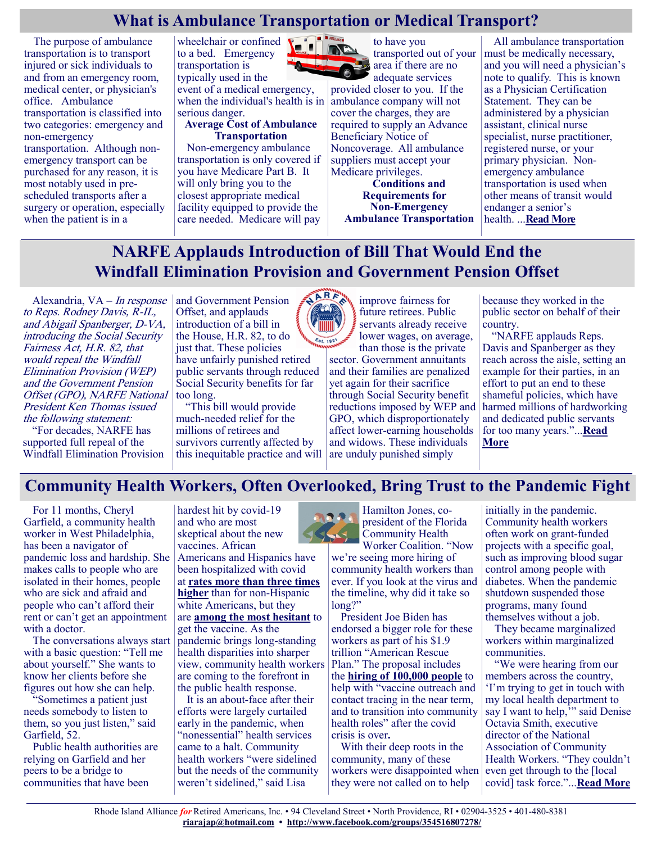# **What is Ambulance Transportation or Medical Transport?**

The purpose of ambulance transportation is to transport injured or sick individuals to and from an emergency room, medical center, or physician's office. Ambulance transportation is classified into two categories: emergency and non-emergency transportation. Although nonemergency transport can be purchased for any reason, it is most notably used in prescheduled transports after a surgery or operation, especially when the patient is in a

wheelchair or confined to a bed. Emergency transportation is typically used in the

event of a medical emergency, when the individual's health is in serious danger.

**Average Cost of Ambulance Transportation**

Non-emergency ambulance transportation is only covered if you have Medicare Part B. It will only bring you to the closest appropriate medical facility equipped to provide the care needed. Medicare will pay



adequate services provided closer to you. If the ambulance company will not cover the charges, they are required to supply an Advance Beneficiary Notice of Noncoverage. All ambulance suppliers must accept your Medicare privileges.

> **Conditions and Requirements for Non-Emergency Ambulance Transportation**

All ambulance transportation must be medically necessary, and you will need a physician's note to qualify. This is known as a Physician Certification Statement. They can be administered by a physician assistant, clinical nurse specialist, nurse practitioner, registered nurse, or your primary physician. Nonemergency ambulance transportation is used when other means of transit would endanger a senior's health. ...**[Read More](https://seniordirectory.com/health-services/ambulance-transportation)**

# **NARFE Applauds Introduction of Bill That Would End the Windfall Elimination Provision and Government Pension Offset**

Alexandria, VA – In response to Reps. Rodney Davis, R-IL, and Abigail Spanberger, D-VA, introducing the Social Security Fairness Act, H.R. 82, that would repeal the Windfall Elimination Provision (WEP) and the Government Pension Offset (GPO), NARFE National President Ken Thomas issued the following statement:

"For decades, NARFE has supported full repeal of the Windfall Elimination Provision and Government Pension Offset, and applauds introduction of a bill in the House, H.R. 82, to do just that. These policies have unfairly punished retired public servants through reduced Social Security benefits for far too long.

"This bill would provide much-needed relief for the millions of retirees and survivors currently affected by this inequitable practice and will



servants already receive lower wages, on average, than those is the private sector. Government annuitants and their families are penalized yet again for their sacrifice through Social Security benefit reductions imposed by WEP and GPO, which disproportionately affect lower-earning households and widows. These individuals are unduly punished simply

improve fairness for future retirees. Public because they worked in the public sector on behalf of their country.

"NARFE applauds Reps. Davis and Spanberger as they reach across the aisle, setting an example for their parties, in an effort to put an end to these shameful policies, which have harmed millions of hardworking and dedicated public servants for too many years."...**[Read](https://new.narfe.org/narfe-applauds-introduction-of-bill-that-would-end-the-windfall-elimination-provision-and-government-pension-offset/?fbclid=IwAR1fA_4cCgctUs9nddMgLuHDqbDt50gktBeupxmFOxZeYmdd2qqxULDiUd8)  [More](https://new.narfe.org/narfe-applauds-introduction-of-bill-that-would-end-the-windfall-elimination-provision-and-government-pension-offset/?fbclid=IwAR1fA_4cCgctUs9nddMgLuHDqbDt50gktBeupxmFOxZeYmdd2qqxULDiUd8)**

# **Community Health Workers, Often Overlooked, Bring Trust to the Pandemic Fight**

For 11 months, Cheryl Garfield, a community health worker in West Philadelphia, has been a navigator of pandemic loss and hardship. She makes calls to people who are isolated in their homes, people who are sick and afraid and people who can't afford their rent or can't get an appointment with a doctor.

The conversations always start with a basic question: "Tell me about yourself." She wants to know her clients before she figures out how she can help.

"Sometimes a patient just needs somebody to listen to them, so you just listen," said Garfield, 52.

Public health authorities are relying on Garfield and her peers to be a bridge to communities that have been

hardest hit by covid-19 and who are most skeptical about the new vaccines. African

Americans and Hispanics have been hospitalized with covid at **[rates more than three times](https://www.cdc.gov/coronavirus/2019-ncov/community/health-equity/racial-ethnic-disparities/disparities-hospitalization.html)  [higher](https://www.cdc.gov/coronavirus/2019-ncov/community/health-equity/racial-ethnic-disparities/disparities-hospitalization.html)** than for non-Hispanic white Americans, but they are **[among the most hesitant](https://www.kff.org/coronavirus-covid-19/report/kff-covid-19-vaccine-monitor-december-2020/)** to get the vaccine. As the pandemic brings long-standing health disparities into sharper view, community health workers are coming to the forefront in the public health response.

It is an about-face after their efforts were largely curtailed early in the pandemic, when "nonessential" health services came to a halt. Community health workers "were sidelined but the needs of the community weren't sidelined," said Lisa



we're seeing more hiring of community health workers than ever. If you look at the virus and the timeline, why did it take so long?"

President Joe Biden has endorsed a bigger role for these workers as part of his \$1.9 trillion "American Rescue Plan." The proposal includes the **[hiring of 100,000 people](https://www.whitehouse.gov/briefing-room/legislation/2021/01/20/president-biden-announces-american-rescue-plan/)** to help with "vaccine outreach and contact tracing in the near term, and to transition into community health roles" after the covid crisis is over**.**

With their deep roots in the community, many of these workers were disappointed when they were not called on to help

initially in the pandemic. Community health workers often work on grant-funded projects with a specific goal, such as improving blood sugar control among people with diabetes. When the pandemic shutdown suspended those programs, many found themselves without a job.

They became marginalized workers within marginalized communities.

"We were hearing from our members across the country, 'I'm trying to get in touch with my local health department to say I want to help," said Denise Octavia Smith, executive director of the National Association of Community Health Workers. "They couldn't even get through to the [local covid] task force."...**[Read More](https://khn.org/news/article/community-health-workers-often-overlooked-bring-trust-to-the-pandemic-fight/)**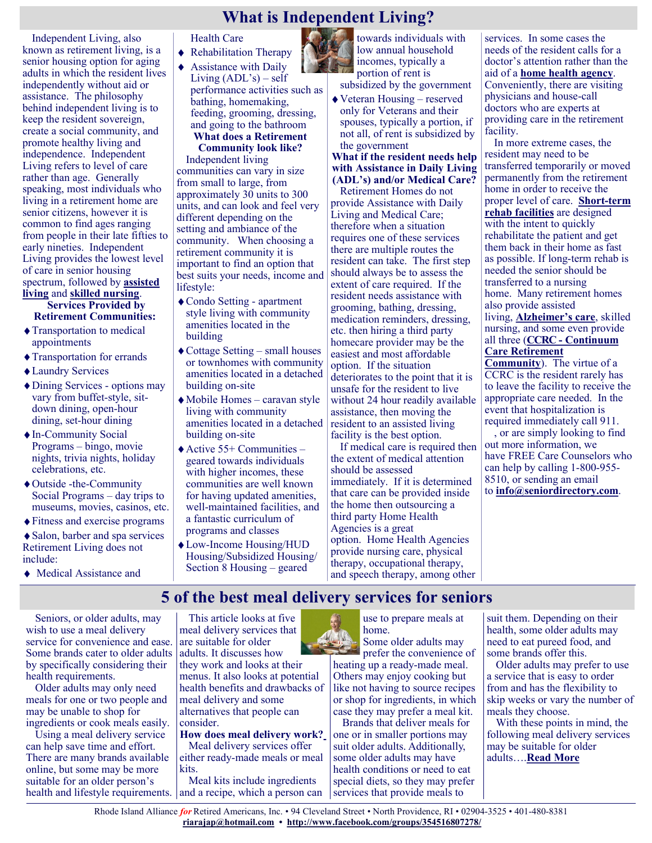# **What is Independent Living?**

Independent Living, also known as retirement living, is a senior housing option for aging adults in which the resident lives independently without aid or assistance. The philosophy behind independent living is to keep the resident sovereign, create a social community, and promote healthy living and independence. Independent Living refers to level of care rather than age. Generally speaking, most individuals who living in a retirement home are senior citizens, however it is common to find ages ranging from people in their late fifties to early nineties. Independent Living provides the lowest level of care in senior housing spectrum, followed by **[assisted](https://seniordirectory.com/housing/assisted-living-facilities)  [living](https://seniordirectory.com/housing/assisted-living-facilities)** and **[skilled nursing](https://seniordirectory.com/housing/skilled-nursing-homes)**.

**Services Provided by Retirement Communities:**

- Transportation to medical appointments
- Transportation for errands
- Laundry Services
- Dining Services options may vary from buffet-style, sitdown dining, open-hour dining, set-hour dining
- ◆ In-Community Social Programs – bingo, movie nights, trivia nights, holiday celebrations, etc.
- Outside -the-Community Social Programs – day trips to museums, movies, casinos, etc.
- Fitness and exercise programs

Salon, barber and spa services Retirement Living does not include:

Medical Assistance and

Health Care

- ◆ Rehabilitation Therapy
- Assistance with Daily Living (ADL's) – self performance activities such as bathing, homemaking, feeding, grooming, dressing, and going to the bathroom **What does a Retirement**

#### **Community look like?** Independent living

communities can vary in size from small to large, from approximately 30 units to 300 units, and can look and feel very different depending on the setting and ambiance of the community. When choosing a retirement community it is important to find an option that best suits your needs, income and lifestyle:

- Condo Setting apartment style living with community amenities located in the building
- $\triangle$  Cottage Setting small houses or townhomes with community amenities located in a detached building on-site
- Mobile Homes caravan style living with community amenities located in a detached building on-site
- $\triangle$  Active 55+ Communities geared towards individuals with higher incomes, these communities are well known for having updated amenities, well-maintained facilities, and a fantastic curriculum of programs and classes
- Low-Income Housing/HUD Housing/Subsidized Housing/ Section 8 Housing – geared

towards individuals with low annual household incomes, typically a portion of rent is

subsidized by the government

Veteran Housing – reserved only for Veterans and their spouses, typically a portion, if not all, of rent is subsidized by the government

#### **What if the resident needs help with Assistance in Daily Living (ADL's) and/or Medical Care?**

Retirement Homes do not provide Assistance with Daily Living and Medical Care; therefore when a situation requires one of these services there are multiple routes the resident can take. The first step should always be to assess the extent of care required. If the resident needs assistance with grooming, bathing, dressing, medication reminders, dressing, etc. then hiring a third party homecare provider may be the easiest and most affordable option. If the situation deteriorates to the point that it is unsafe for the resident to live without 24 hour readily available assistance, then moving the resident to an assisted living facility is the best option.

If medical care is required then the extent of medical attention should be assessed immediately. If it is determined that care can be provided inside the home then outsourcing a third party Home Health Agencies is a great option. Home Health Agencies provide nursing care, physical therapy, occupational therapy, and speech therapy, among other services. In some cases the needs of the resident calls for a doctor's attention rather than the aid of a **[home health agency](https://seniordirectory.com/in-home-services/home-health-agencies-medical)**. Conveniently, there are visiting physicians and house-call doctors who are experts at providing care in the retirement facility.

In more extreme cases, the resident may need to be transferred temporarily or moved permanently from the retirement home in order to receive the proper level of care. **[Short](https://seniordirectory.com/housing/short-term-rehabilitation)-term [rehab facilities](https://seniordirectory.com/housing/short-term-rehabilitation)** are designed with the intent to quickly rehabilitate the patient and get them back in their home as fast as possible. If long-term rehab is needed the senior should be transferred to a nursing home. Many retirement homes also provide assisted living, **[Alzheimer's care](https://seniordirectory.com/housing/alzheimer-care-facilities)**, skilled nursing, and some even provide all three (**CCRC - [Continuum](https://seniordirectory.com/housing/continuum-of-care)  [Care Retirement](https://seniordirectory.com/housing/continuum-of-care)  [Community](https://seniordirectory.com/housing/continuum-of-care)**). The virtue of a

CCRC is the resident rarely has to leave the facility to receive the appropriate care needed. In the event that hospitalization is required immediately call 911. , or are simply looking to find

out more information, we have FREE Care Counselors who can help by calling 1-800-955- 8510, or sending an email to **[info@seniordirectory.com](mailto:info@seniordirectory.com)**.

# **5 of the best meal delivery services for seniors**

Seniors, or older adults, may wish to use a meal delivery service for convenience and ease. Some brands cater to older adults by specifically considering their health requirements.

Older adults may only need meals for one or two people and may be unable to shop for ingredients or cook meals easily.

Using a meal delivery service can help save time and effort. There are many brands available online, but some may be more suitable for an older person's health and lifestyle requirements. and a recipe, which a person can

This article looks at five meal delivery services that are suitable for older adults. It discusses how they work and looks at their menus. It also looks at potential health benefits and drawbacks of meal delivery and some alternatives that people can consider.

**How does meal delivery work?** Meal delivery services offer

either ready-made meals or meal kits.

Meal kits include ingredients

use to prepare meals at home.

Some older adults may prefer the convenience of

heating up a ready-made meal. Others may enjoy cooking but like not having to source recipes or shop for ingredients, in which case they may prefer a meal kit.

Brands that deliver meals for one or in smaller portions may suit older adults. Additionally, some older adults may have health conditions or need to eat special diets, so they may prefer services that provide meals to

suit them. Depending on their health, some older adults may need to eat pureed food, and some brands offer this.

Older adults may prefer to use a service that is easy to order from and has the flexibility to skip weeks or vary the number of meals they choose.

With these points in mind, the following meal delivery services may be suitable for older adults….**[Read More](https://www.medicalnewstoday.com/articles/meal-delivery-for-seniors#how-does-it-work)**

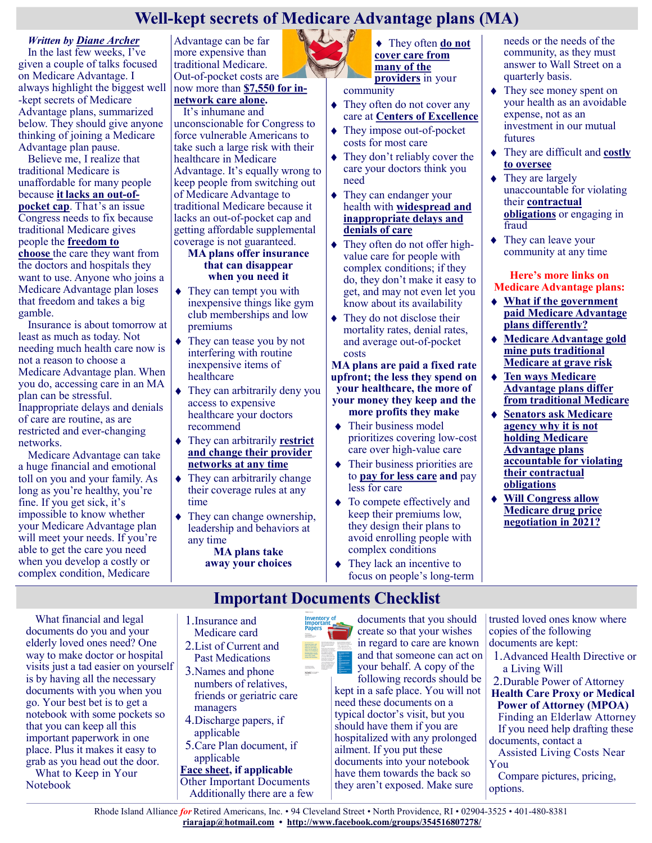# **Well-kept secrets of Medicare Advantage plans (MA)**

#### *Written by [Diane Archer](https://justcareusa.org/author/admin/)*

In the last few weeks, I've given a couple of talks focused on Medicare Advantage. I always highlight the biggest well -kept secrets of Medicare Advantage plans, summarized below. They should give anyone thinking of joining a Medicare Advantage plan pause.

Believe me, I realize that traditional Medicare is unaffordable for many people because **it [lacks an out](https://justcareusa.org/why-shouldnt-traditional-medicare-have-an-out-of-pocket-cap/)-of[pocket cap](https://justcareusa.org/why-shouldnt-traditional-medicare-have-an-out-of-pocket-cap/)**. That's an issue Congress needs to fix because traditional Medicare gives people the **[freedom to](https://justcareusa.org/if-you-want-easy-health-care-access-and-good-quality-care-you-probably-want-traditional-medicare/)  [choose](https://justcareusa.org/if-you-want-easy-health-care-access-and-good-quality-care-you-probably-want-traditional-medicare/)** the care they want from the doctors and hospitals they want to use. Anyone who joins a Medicare Advantage plan loses that freedom and takes a big gamble.

Insurance is about tomorrow at least as much as today. Not needing much health care now is not a reason to choose a Medicare Advantage plan. When you do, accessing care in an MA plan can be stressful. Inappropriate delays and denials of care are routine, as are restricted and ever-changing networks.

Medicare Advantage can take a huge financial and emotional toll on you and your family. As long as you're healthy, you're fine. If you get sick, it's impossible to know whether your Medicare Advantage plan will meet your needs. If you're able to get the care you need when you develop a costly or complex condition, Medicare

Advantage can be far more expensive than traditional Medicare. Out-of-pocket costs are

#### now more than **[\\$7,550 for in](https://justcareusa.org/your-medicare-benefits-and-costs-in-2021/)[network care alone.](https://justcareusa.org/your-medicare-benefits-and-costs-in-2021/)**

It's inhumane and unconscionable for Congress to force vulnerable Americans to take such a large risk with their healthcare in Medicare Advantage. It's equally wrong to keep people from switching out of Medicare Advantage to traditional Medicare because it lacks an out-of-pocket cap and getting affordable supplemental coverage is not guaranteed.

#### **MA plans offer insurance that can disappear when you need it**

- They can tempt you with inexpensive things like gym club memberships and low premiums
- They can tease you by not interfering with routine inexpensive items of healthcare
- They can arbitrarily deny you access to expensive healthcare your doctors recommend
- They can arbitrarily **[restrict](https://www.ama-assn.org/practice-management/medicare/6-ways-improve-medicare-advantage-physician-networks)  [and change their provider](https://www.ama-assn.org/practice-management/medicare/6-ways-improve-medicare-advantage-physician-networks)  networks [at any time](https://www.ama-assn.org/practice-management/medicare/6-ways-improve-medicare-advantage-physician-networks)**
- They can arbitrarily change their coverage rules at any time
- They can change ownership, leadership and behaviors at any time

**MA plans take away your choices**



◆ They often **do not [cover care from](http://files.kff.org/attachment/Report-Medicare-Advantage-How-Robust-Are-Plans-Physician-Networks)  [many of the](http://files.kff.org/attachment/Report-Medicare-Advantage-How-Robust-Are-Plans-Physician-Networks)  [providers](http://files.kff.org/attachment/Report-Medicare-Advantage-How-Robust-Are-Plans-Physician-Networks)** in your

community

- They often do not cover any care at **[Centers of Excellence](http://files.kff.org/attachment/Report-Medicare-Advantage-Hospital-Networks-How-Much-Do-They-Vary)**
- They impose out-of-pocket costs for most care
- They don't reliably cover the care your doctors think you need
- They can endanger your health with **[widespread and](https://www.fiercehealthcare.com/payer/medicare-advantage-organizations-routinely-issue-improper-payment-denials-oig)  [inappropriate delays and](https://www.fiercehealthcare.com/payer/medicare-advantage-organizations-routinely-issue-improper-payment-denials-oig)  [denials of care](https://www.fiercehealthcare.com/payer/medicare-advantage-organizations-routinely-issue-improper-payment-denials-oig)**
- They often do not offer highvalue care for people with complex conditions; if they do, they don't make it easy to get, and may not even let you know about its availability
- $\triangle$  They do not disclose their mortality rates, denial rates, and average out-of-pocket costs

**MA plans are paid a fixed rate upfront; the less they spend on your healthcare, the more of your money they keep and the more profits they make**

- $\triangleleft$  Their business model prioritizes covering low-cost care over high-value care
- Their business priorities are to **[pay for less care](https://healthpayerintelligence.com/news/oig-finds-profits-to-blame-for-denied-medicare-advantage-claims) and** pay less for care
- To compete effectively and keep their premiums low, they design their plans to avoid enrolling people with complex conditions
- They lack an incentive to focus on people's long-term

#### needs or the needs of the community, as they must answer to Wall Street on a quarterly basis.

- They see money spent on your health as an avoidable expense, not as an investment in our mutual futures
- They are difficult and **[costly](https://justcareusa.org/medicare-advantage-plans-unaccountable-for-billions-in-overcharges/)  [to oversee](https://justcareusa.org/medicare-advantage-plans-unaccountable-for-billions-in-overcharges/)**
- $\blacklozenge$  They are largely unaccountable for violating their **[contractual](https://www.gao.gov/assets/660/651712.pdf)  [obligations](https://www.gao.gov/assets/660/651712.pdf)** or engaging in fraud
- ◆ They can leave your community at any time

#### **Here's more links on Medicare Advantage plans:**

- **[What if the government](https://justcareusa.org/what-if-the-government-paid-medicare-advantage-plans-differently/)  [paid Medicare Advantage](https://justcareusa.org/what-if-the-government-paid-medicare-advantage-plans-differently/)  [plans differently?](https://justcareusa.org/what-if-the-government-paid-medicare-advantage-plans-differently/)**
- **[Medicare Advantage gold](https://justcareusa.org/medicare-advantage-gold-mine-puts-traditional-medicare-at-grave-risk/)  [mine puts traditional](https://justcareusa.org/medicare-advantage-gold-mine-puts-traditional-medicare-at-grave-risk/)  [Medicare at grave risk](https://justcareusa.org/medicare-advantage-gold-mine-puts-traditional-medicare-at-grave-risk/)**
- **[Ten ways Medicare](https://justcareusa.org/ten-ways-medicare-advantage-plans-differ-from-traditional-medicare/)  [Advantage plans differ](https://justcareusa.org/ten-ways-medicare-advantage-plans-differ-from-traditional-medicare/)  [from traditional Medicare](https://justcareusa.org/ten-ways-medicare-advantage-plans-differ-from-traditional-medicare/)**
- **[Senators ask Medicare](https://justcareusa.org/senate-asks-cms-why-it-is-not-holding-medicare-advantage-plans-accountable-for-violating-their-contractual-obligations/)  [agency why it is not](https://justcareusa.org/senate-asks-cms-why-it-is-not-holding-medicare-advantage-plans-accountable-for-violating-their-contractual-obligations/)  [holding Medicare](https://justcareusa.org/senate-asks-cms-why-it-is-not-holding-medicare-advantage-plans-accountable-for-violating-their-contractual-obligations/)  [Advantage plans](https://justcareusa.org/senate-asks-cms-why-it-is-not-holding-medicare-advantage-plans-accountable-for-violating-their-contractual-obligations/)  [accountable for violating](https://justcareusa.org/senate-asks-cms-why-it-is-not-holding-medicare-advantage-plans-accountable-for-violating-their-contractual-obligations/)  [their contractual](https://justcareusa.org/senate-asks-cms-why-it-is-not-holding-medicare-advantage-plans-accountable-for-violating-their-contractual-obligations/)  [obligations](https://justcareusa.org/senate-asks-cms-why-it-is-not-holding-medicare-advantage-plans-accountable-for-violating-their-contractual-obligations/)**
- **[Will Congress allow](https://justcareusa.org/will-congress-allow-medicare-drug-price-negotiation-in-2021/)  [Medicare drug price](https://justcareusa.org/will-congress-allow-medicare-drug-price-negotiation-in-2021/)  [negotiation in 2021?](https://justcareusa.org/will-congress-allow-medicare-drug-price-negotiation-in-2021/)**

**Important Documents Checklist**

1.Insurance and

- Medicare card 2.List of Current and
- Past Medications 3.Names and phone numbers of relatives, friends or geriatric care
- managers 4.Discharge papers, if
- applicable 5.Care Plan document, if

applicable **[Face sheet,](https://www.caring.com/articles/medical-face-sheet) if applicable** Other Important Documents Additionally there are a few



documents that you should create so that your wishes in regard to care are known and that someone can act on your behalf. A copy of the

following records should be kept in a safe place. You will not need these documents on a typical doctor's visit, but you should have them if you are hospitalized with any prolonged ailment. If you put these documents into your notebook have them towards the back so they aren't exposed. Make sure

trusted loved ones know where copies of the following documents are kept:

- 1.Advanced Health Directive or a Living Will
- 2.Durable Power of Attorney **Health Care Proxy or Medical**
- **Power of Attorney (MPOA)** Finding an Elderlaw Attorney
- If you need help drafting these documents, contact a
- Assisted Living Costs Near You
- Compare pictures, pricing, options.

Rhode Island Alliance *for* Retired Americans, Inc. • 94 Cleveland Street • North Providence, RI • 02904-3525 • 401-480-8381 **[riarajap@hotmail.com](mailto:riarajap@hotmail.com) • [http://www.facebook.com/groups/354516807278/](https://www.facebook.com/groups/354516807278/)**

What financial and legal documents do you and your elderly loved ones need? One way to make doctor or hospital visits just a tad easier on yourself is by having all the necessary documents with you when you go. Your best bet is to get a notebook with some pockets so that you can keep all this important paperwork in one place. Plus it makes it easy to grab as you head out the door.

What to Keep in Your Notebook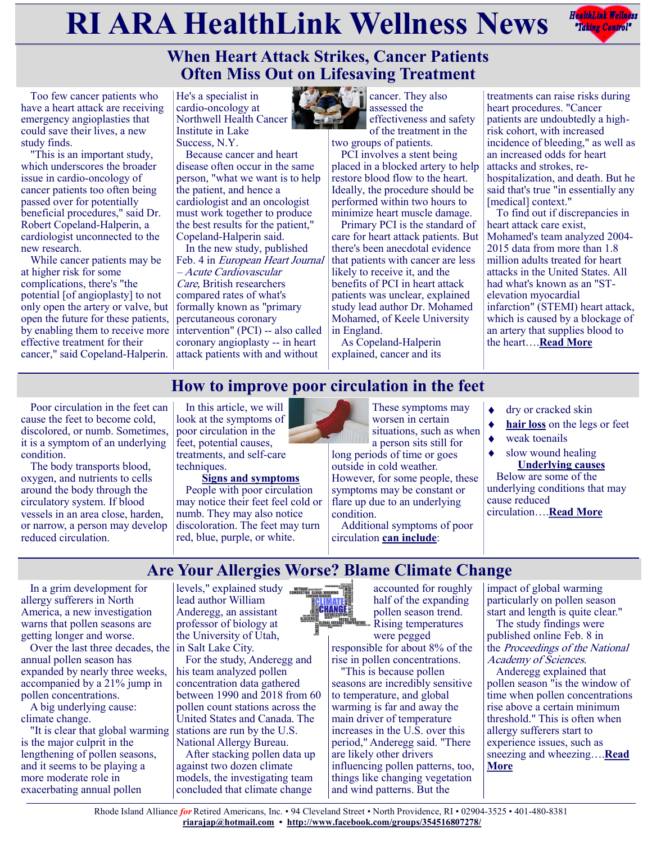# **RIARA HealthLink Wellness News** *Reduction Reduction***ly and** *Reduction***ly and** *Reduction***ly <b>Reduction**



# **When Heart Attack Strikes, Cancer Patients Often Miss Out on Lifesaving Treatment**

Too few cancer patients who have a heart attack are receiving emergency angioplasties that could save their lives, a new study finds.

"This is an important study, which underscores the broader issue in cardio-oncology of cancer patients too often being passed over for potentially beneficial procedures," said Dr. Robert Copeland-Halperin, a cardiologist unconnected to the new research.

While cancer patients may be at higher risk for some complications, there's "the potential [of angioplasty] to not only open the artery or valve, but open the future for these patients, by enabling them to receive more effective treatment for their cancer," said Copeland-Halperin.

He's a specialist in cardio-oncology at Northwell Health Cancer Institute in Lake Success, N.Y.

Because cancer and heart disease often occur in the same person, "what we want is to help the patient, and hence a cardiologist and an oncologist must work together to produce the best results for the patient," Copeland-Halperin said.

In the new study, published Feb. 4 in European Heart Journal – Acute Cardiovascular Care, British researchers compared rates of what's formally known as "primary percutaneous coronary intervention" (PCI) -- also called coronary angioplasty -- in heart attack patients with and without



cancer. They also assessed the effectiveness and safety of the treatment in the

two groups of patients. PCI involves a stent being placed in a blocked artery to help restore blood flow to the heart. Ideally, the procedure should be performed within two hours to

minimize heart muscle damage. Primary PCI is the standard of care for heart attack patients. But there's been anecdotal evidence that patients with cancer are less likely to receive it, and the benefits of PCI in heart attack patients was unclear, explained study lead author Dr. Mohamed Mohamed, of Keele University in England.

As Copeland-Halperin explained, cancer and its

treatments can raise risks during heart procedures. "Cancer patients are undoubtedly a highrisk cohort, with increased incidence of bleeding," as well as an increased odds for heart attacks and strokes, rehospitalization, and death. But he said that's true "in essentially any [medical] context."

To find out if discrepancies in heart attack care exist, Mohamed's team analyzed 2004- 2015 data from more than 1.8 million adults treated for heart attacks in the United States. All had what's known as an "STelevation myocardial infarction" (STEMI) heart attack, which is caused by a blockage of an artery that supplies blood to the heart….**[Read More](https://consumer.healthday.com/sb-when-heart-attack-strikes-cancer-patients-often-miss-out-on-life-saving-treatment-2650255411.html)**

# **How to improve poor circulation in the feet**

Poor circulation in the feet can cause the feet to become cold, discolored, or numb. Sometimes, it is a symptom of an underlying condition.

The body transports blood, oxygen, and nutrients to cells around the body through the circulatory system. If blood vessels in an area close, harden, or narrow, a person may develop reduced circulation.

In this article, we will look at the symptoms of poor circulation in the feet, potential causes, treatments, and self-care techniques.

**Signs and symptoms** People with poor circulation may notice their feet feel cold or numb. They may also notice discoloration. The feet may turn red, blue, purple, or white.

These symptoms may worsen in certain situations, such as when a person sits still for

long periods of time or goes outside in cold weather. However, for some people, these symptoms may be constant or flare up due to an underlying condition.

Additional symptoms of poor circulation **[can include](https://www.diabetes.co.uk/diabetes-complications/poor-blood-circulation.html)**:

- dry or cracked skin
- **[hair loss](https://www.medicalnewstoday.com/articles/70956)** on the legs or feet
- weak toenails
	- slow wound healing **Underlying causes**

Below are some of the underlying conditions that may cause reduced circulation….**[Read More](https://www.medicalnewstoday.com/articles/poor-circulation-in-feet#symptoms)**

**Are Your Allergies Worse? Blame Climate Change**

In a grim development for allergy sufferers in North America, a new investigation warns that pollen seasons are getting longer and worse.

Over the last three decades, the  $\vert$  in Salt Lake City. annual pollen season has expanded by nearly three weeks, accompanied by a 21% jump in pollen concentrations.

A big underlying cause: climate change.

"It is clear that global warming is the major culprit in the lengthening of pollen seasons, and it seems to be playing a more moderate role in exacerbating annual pollen

levels," explained study CONSILIATE lead author William Anderegg, an assistant professor of biology at the University of Utah,

For the study, Anderegg and his team analyzed pollen concentration data gathered between 1990 and 2018 from 60 pollen count stations across the United States and Canada. The stations are run by the U.S. National Allergy Bureau.

After stacking pollen data up against two dozen climate models, the investigating team concluded that climate change



accounted for roughly half of the expanding pollen season trend. Rising temperatures

were pegged responsible for about 8% of the rise in pollen concentrations.

"This is because pollen seasons are incredibly sensitive to temperature, and global warming is far and away the main driver of temperature increases in the U.S. over this period," Anderegg said. "There are likely other drivers influencing pollen patterns, too, things like changing vegetation and wind patterns. But the

impact of global warming particularly on pollen season start and length is quite clear."

The study findings were published online Feb. 8 in the Proceedings of the National Academy of Sciences.

Anderegg explained that pollen season "is the window of time when pollen concentrations rise above a certain minimum threshold." This is often when allergy sufferers start to experience issues, such as sneezing and wheezing….**[Read](https://consumer.healthday.com/2-8-climate-change-has-lengthened-pollen-season-by-20-days-study-2650281564.html)  [More](https://consumer.healthday.com/2-8-climate-change-has-lengthened-pollen-season-by-20-days-study-2650281564.html)**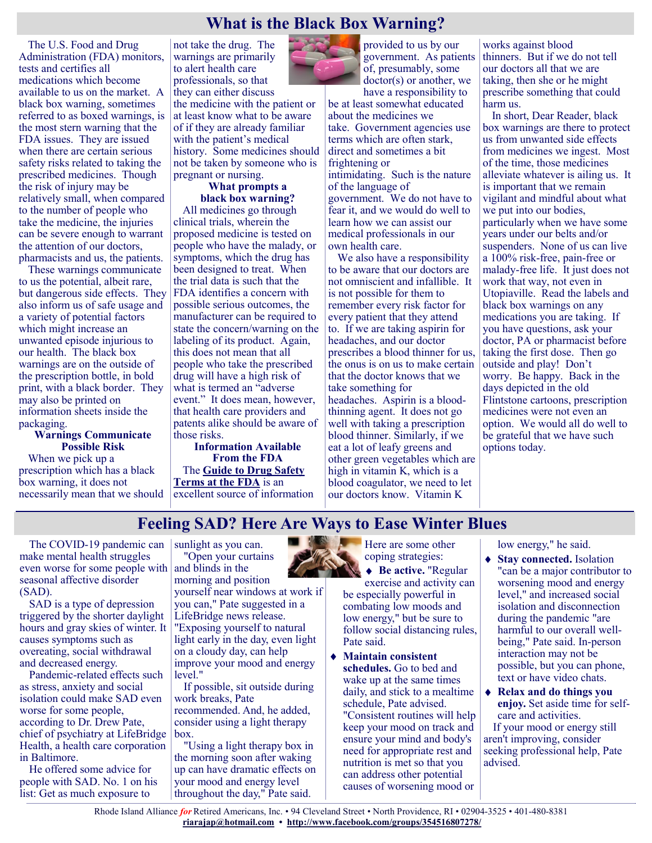## **What is the Black Box Warning?**

The U.S. Food and Drug Administration (FDA) monitors, tests and certifies all medications which become available to us on the market. A black box warning, sometimes referred to as boxed warnings, is the most stern warning that the FDA issues. They are issued when there are certain serious safety risks related to taking the prescribed medicines. Though the risk of injury may be relatively small, when compared to the number of people who take the medicine, the injuries can be severe enough to warrant the attention of our doctors, pharmacists and us, the patients.

These warnings communicate to us the potential, albeit rare, but dangerous side effects. They also inform us of safe usage and a variety of potential factors which might increase an unwanted episode injurious to our health. The black box warnings are on the outside of the prescription bottle, in bold print, with a black border. They may also be printed on information sheets inside the packaging.

#### **Warnings Communicate Possible Risk**

When we pick up a prescription which has a black box warning, it does not necessarily mean that we should

not take the drug. The warnings are primarily to alert health care professionals, so that they can either discuss

the medicine with the patient or at least know what to be aware of if they are already familiar with the patient's medical history. Some medicines should not be taken by someone who is pregnant or nursing.

#### **What prompts a black box warning?**

All medicines go through clinical trials, wherein the proposed medicine is tested on people who have the malady, or symptoms, which the drug has been designed to treat. When the trial data is such that the FDA identifies a concern with possible serious outcomes, the manufacturer can be required to state the concern/warning on the labeling of its product. Again, this does not mean that all people who take the prescribed drug will have a high risk of what is termed an "adverse event." It does mean, however, that health care providers and patents alike should be aware of those risks.

**Information Available From the FDA** The **[Guide to Drug Safety](https://www.fda.gov/media/74382/download)  [Terms at the FDA](https://www.fda.gov/media/74382/download)** is an excellent source of information



provided to us by our government. As patients of, presumably, some doctor(s) or another, we have a responsibility to

be at least somewhat educated about the medicines we take. Government agencies use terms which are often stark, direct and sometimes a bit frightening or intimidating. Such is the nature

of the language of government. We do not have to fear it, and we would do well to learn how we can assist our medical professionals in our own health care.

We also have a responsibility to be aware that our doctors are not omniscient and infallible. It is not possible for them to remember every risk factor for every patient that they attend to. If we are taking aspirin for headaches, and our doctor prescribes a blood thinner for us, the onus is on us to make certain that the doctor knows that we take something for headaches. Aspirin is a bloodthinning agent. It does not go well with taking a prescription blood thinner. Similarly, if we eat a lot of leafy greens and other green vegetables which are high in vitamin K, which is a blood coagulator, we need to let our doctors know. Vitamin K

works against blood thinners. But if we do not tell our doctors all that we are taking, then she or he might prescribe something that could harm us.

In short, Dear Reader, black box warnings are there to protect us from unwanted side effects from medicines we ingest. Most of the time, those medicines alleviate whatever is ailing us. It is important that we remain vigilant and mindful about what we put into our bodies, particularly when we have some years under our belts and/or suspenders. None of us can live a 100% risk-free, pain-free or malady-free life. It just does not work that way, not even in Utopiaville. Read the labels and black box warnings on any medications you are taking. If you have questions, ask your doctor, PA or pharmacist before taking the first dose. Then go outside and play! Don't worry. Be happy. Back in the days depicted in the old Flintstone cartoons, prescription medicines were not even an option. We would all do well to be grateful that we have such options today.

## **Feeling SAD? Here Are Ways to Ease Winter Blues**

The COVID-19 pandemic can make mental health struggles even worse for some people with and blinds in the seasonal affective disorder (SAD).

SAD is a type of depression triggered by the shorter daylight hours and gray skies of winter. It causes symptoms such as overeating, social withdrawal and decreased energy.

Pandemic-related effects such as stress, anxiety and social isolation could make SAD even worse for some people, according to Dr. Drew Pate, chief of psychiatry at LifeBridge Health, a health care corporation in Baltimore.

He offered some advice for people with SAD. No. 1 on his list: Get as much exposure to

sunlight as you can. "Open your curtains morning and position

yourself near windows at work if you can," Pate suggested in a LifeBridge news release. "Exposing yourself to natural light early in the day, even light on a cloudy day, can help improve your mood and energy level."

If possible, sit outside during work breaks, Pate recommended. And, he added, consider using a light therapy box.

"Using a light therapy box in the morning soon after waking up can have dramatic effects on your mood and energy level throughout the day," Pate said.

Here are some other coping strategies:

◆ **Be active.** "Regular exercise and activity can be especially powerful in combating low moods and low energy," but be sure to follow social distancing rules, Pate said.

**Maintain consistent schedules.** Go to bed and wake up at the same times daily, and stick to a mealtime schedule, Pate advised. "Consistent routines will help keep your mood on track and ensure your mind and body's need for appropriate rest and nutrition is met so that you can address other potential causes of worsening mood or

low energy," he said.

- ◆ Stay connected. Isolation "can be a major contributor to worsening mood and energy level," and increased social isolation and disconnection during the pandemic "are harmful to our overall wellbeing," Pate said. In-person interaction may not be possible, but you can phone, text or have video chats.
- **Relax and do things you enjoy.** Set aside time for selfcare and activities.

If your mood or energy still aren't improving, consider seeking professional help, Pate advised.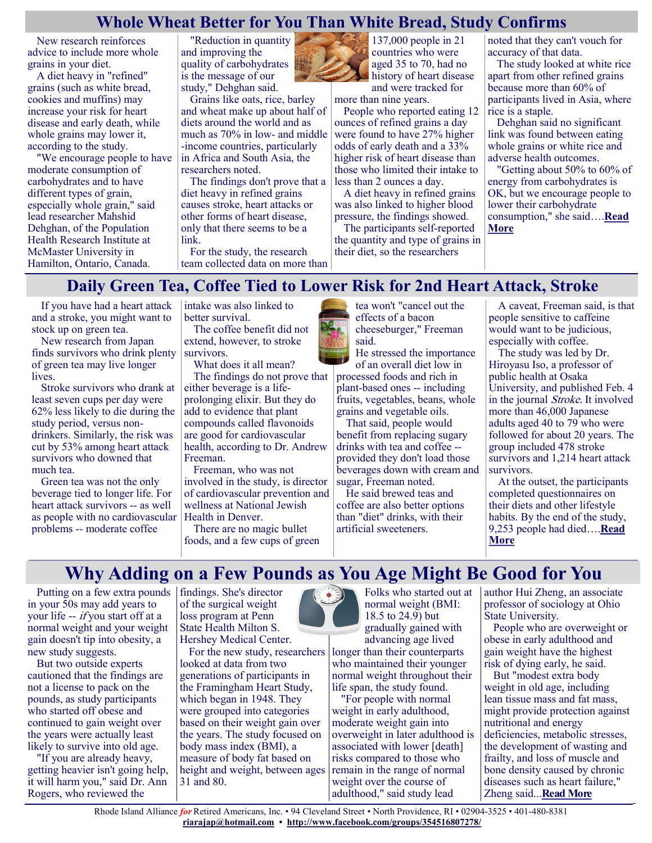## **Whole Wheat Better for You Than White Bread, Study Confirms**

New research reinforces advice to include more whole grains in your diet.

A diet heavy in "refined" grains (such as white bread, cookies and muffins) may increase your risk for heart disease and early death, while whole grains may lower it, according to the study.

"We encourage people to have moderate consumption of carbohydrates and to have different types of grain, especially whole grain," said lead researcher Mahshid Dehghan, of the Population Health Research Institute at McMaster University in Hamilton, Ontario, Canada.

"Reduction in quantity and improving the quality of carbohydrates is the message of our study," Dehghan said.

Grains like oats, rice, barley and wheat make up about half of diets around the world and as much as 70% in low- and middle -income countries, particularly in Africa and South Asia, the researchers noted.

The findings don't prove that a diet heavy in refined grains causes stroke, heart attacks or other forms of heart disease, only that there seems to be a link.

For the study, the research team collected data on more than

137,000 people in 21 countries who were aged 35 to 70, had no history of heart disease and were tracked for

more than nine years.

People who reported eating 12 ounces of refined grains a day were found to have 27% higher odds of early death and a 33% higher risk of heart disease than those who limited their intake to less than 2 ounces a day.

A diet heavy in refined grains was also linked to higher blood pressure, the findings showed.

The participants self-reported the quantity and type of grains in their diet, so the researchers

noted that they can't vouch for accuracy of that data.

The study looked at white rice apart from other refined grains because more than 60% of participants lived in Asia, where rice is a staple.

Dehghan said no significant link was found between eating whole grains or white rice and adverse health outcomes.

"Getting about 50% to 60% of energy from carbohydrates is OK, but we encourage people to lower their carbohydrate consumption," she said….**[Read](https://consumer.healthday.com/2-4-whole-wheat-better-for-you-than-white-bread-study-confirms-2650238535.html)  [More](https://consumer.healthday.com/2-4-whole-wheat-better-for-you-than-white-bread-study-confirms-2650238535.html)**

# **Daily Green Tea, Coffee Tied to Lower Risk for 2nd Heart Attack, Stroke**

If you have had a heart attack and a stroke, you might want to stock up on green tea.

New research from Japan finds survivors who drink plenty of green tea may live longer lives.

Stroke survivors who drank at least seven cups per day were 62% less likely to die during the study period, versus nondrinkers. Similarly, the risk was cut by 53% among heart attack survivors who downed that much tea.

Green tea was not the only beverage tied to longer life. For heart attack survivors -- as well as people with no cardiovascular problems -- moderate coffee

intake was also linked to better survival. The coffee benefit did not

extend, however, to stroke survivors.

What does it all mean? The findings do not prove that

either beverage is a lifeprolonging elixir. But they do add to evidence that plant compounds called flavonoids are good for cardiovascular health, according to Dr. Andrew Freeman.

Freeman, who was not involved in the study, is director of cardiovascular prevention and wellness at National Jewish Health in Denver.

There are no magic bullet foods, and a few cups of green



tea won't "cancel out the effects of a bacon cheeseburger," Freeman

He stressed the importance of an overall diet low in processed foods and rich in plant-based ones -- including fruits, vegetables, beans, whole grains and vegetable oils.

That said, people would benefit from replacing sugary drinks with tea and coffee - provided they don't load those beverages down with cream and sugar, Freeman noted.

He said brewed teas and coffee are also better options than "diet" drinks, with their artificial sweeteners.

A caveat, Freeman said, is that people sensitive to caffeine would want to be judicious, especially with coffee.

The study was led by Dr. Hiroyasu Iso, a professor of public health at Osaka University, and published Feb. 4 in the journal *Stroke*. It involved more than 46,000 Japanese adults aged 40 to 79 who were followed for about 20 years. The group included 478 stroke survivors and 1,214 heart attack survivors.

At the outset, the participants completed questionnaires on their diets and other lifestyle habits. By the end of the study, 9,253 people had died….**[Read](https://consumer.healthday.com/2-4-daily-green-tea-coffee-tied-to-lower-risk-for-second-heart-attack-stroke-2650233846.html)  [More](https://consumer.healthday.com/2-4-daily-green-tea-coffee-tied-to-lower-risk-for-second-heart-attack-stroke-2650233846.html)**

# **Why Adding on a Few Pounds as You Age Might Be Good for You**

Putting on a few extra pounds in your 50s may add years to your life -- if you start off at a normal weight and your weight gain doesn't tip into obesity, a new study suggests.

But two outside experts cautioned that the findings are not a license to pack on the pounds, as study participants who started off obese and continued to gain weight over the years were actually least likely to survive into old age.

"If you are already heavy, getting heavier isn't going help, it will harm you," said Dr. Ann Rogers, who reviewed the

findings. She's director of the surgical weight loss program at Penn State Health Milton S. Hershey Medical Center.

For the new study, researchers looked at data from two generations of participants in the Framingham Heart Study, which began in 1948. They were grouped into categories based on their weight gain over the years. The study focused on body mass index (BMI), a measure of body fat based on height and weight, between ages 31 and 80.



Folks who started out at normal weight (BMI: 18.5 to 24.9) but gradually gained with advancing age lived longer than their counterparts who maintained their younger normal weight throughout their life span, the study found.

"For people with normal weight in early adulthood, moderate weight gain into overweight in later adulthood is associated with lower [death] risks compared to those who remain in the range of normal weight over the course of adulthood," said study lead

author Hui Zheng, an associate professor of sociology at Ohio State University.

People who are overweight or obese in early adulthood and gain weight have the highest risk of dying early, he said.

But "modest extra body weight in old age, including lean tissue mass and fat mass, might provide protection against nutritional and energy deficiencies, metabolic stresses, the development of wasting and frailty, and loss of muscle and bone density caused by chronic diseases such as heart failure," Zheng said...**[Read More](https://consumer.healthday.com/2-8-why-adding-a-few-pounds-in-later-life-may-be-good-for-you-2650252673.html)**